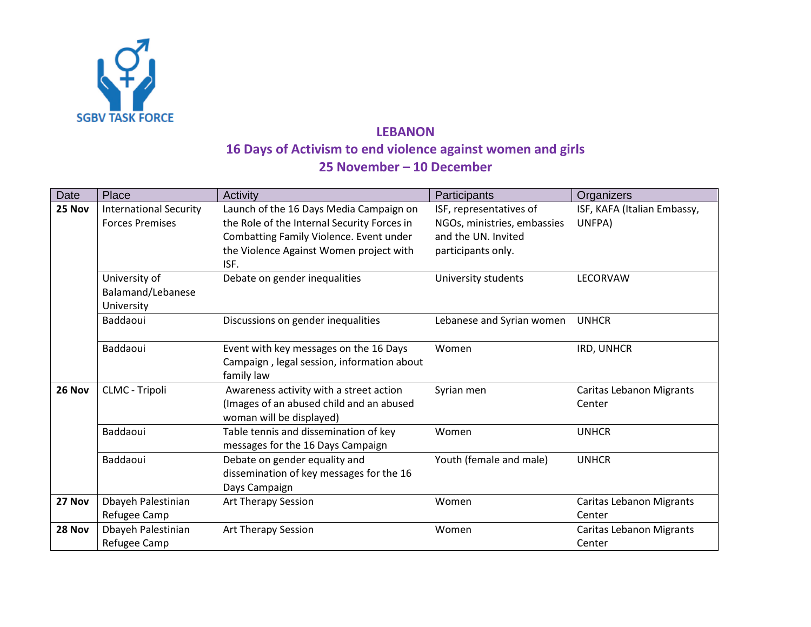

## **LEBANON 16 Days of Activism to end violence against women and girls 25 November – 10 December**

| Place                         | Activity                                                                                                                                                 | Participants                                                                                                                                                                                                                                                                                                                                                                                                                                                                                                                                                                                | Organizers                                                                                                                                                                         |
|-------------------------------|----------------------------------------------------------------------------------------------------------------------------------------------------------|---------------------------------------------------------------------------------------------------------------------------------------------------------------------------------------------------------------------------------------------------------------------------------------------------------------------------------------------------------------------------------------------------------------------------------------------------------------------------------------------------------------------------------------------------------------------------------------------|------------------------------------------------------------------------------------------------------------------------------------------------------------------------------------|
| <b>International Security</b> | Launch of the 16 Days Media Campaign on                                                                                                                  | ISF, representatives of                                                                                                                                                                                                                                                                                                                                                                                                                                                                                                                                                                     | ISF, KAFA (Italian Embassy,<br>UNFPA)                                                                                                                                              |
|                               |                                                                                                                                                          |                                                                                                                                                                                                                                                                                                                                                                                                                                                                                                                                                                                             |                                                                                                                                                                                    |
|                               |                                                                                                                                                          |                                                                                                                                                                                                                                                                                                                                                                                                                                                                                                                                                                                             |                                                                                                                                                                                    |
|                               | ISF.                                                                                                                                                     |                                                                                                                                                                                                                                                                                                                                                                                                                                                                                                                                                                                             |                                                                                                                                                                                    |
| University of                 | Debate on gender inequalities                                                                                                                            | University students                                                                                                                                                                                                                                                                                                                                                                                                                                                                                                                                                                         | LECORVAW                                                                                                                                                                           |
| Balamand/Lebanese             |                                                                                                                                                          |                                                                                                                                                                                                                                                                                                                                                                                                                                                                                                                                                                                             |                                                                                                                                                                                    |
| University                    |                                                                                                                                                          |                                                                                                                                                                                                                                                                                                                                                                                                                                                                                                                                                                                             |                                                                                                                                                                                    |
| Baddaoui                      | Discussions on gender inequalities                                                                                                                       |                                                                                                                                                                                                                                                                                                                                                                                                                                                                                                                                                                                             | <b>UNHCR</b>                                                                                                                                                                       |
|                               |                                                                                                                                                          |                                                                                                                                                                                                                                                                                                                                                                                                                                                                                                                                                                                             |                                                                                                                                                                                    |
|                               |                                                                                                                                                          |                                                                                                                                                                                                                                                                                                                                                                                                                                                                                                                                                                                             | IRD, UNHCR                                                                                                                                                                         |
|                               |                                                                                                                                                          |                                                                                                                                                                                                                                                                                                                                                                                                                                                                                                                                                                                             |                                                                                                                                                                                    |
|                               |                                                                                                                                                          |                                                                                                                                                                                                                                                                                                                                                                                                                                                                                                                                                                                             |                                                                                                                                                                                    |
|                               |                                                                                                                                                          |                                                                                                                                                                                                                                                                                                                                                                                                                                                                                                                                                                                             | <b>Caritas Lebanon Migrants</b>                                                                                                                                                    |
|                               |                                                                                                                                                          |                                                                                                                                                                                                                                                                                                                                                                                                                                                                                                                                                                                             | Center                                                                                                                                                                             |
|                               |                                                                                                                                                          |                                                                                                                                                                                                                                                                                                                                                                                                                                                                                                                                                                                             |                                                                                                                                                                                    |
|                               |                                                                                                                                                          |                                                                                                                                                                                                                                                                                                                                                                                                                                                                                                                                                                                             | <b>UNHCR</b>                                                                                                                                                                       |
|                               |                                                                                                                                                          |                                                                                                                                                                                                                                                                                                                                                                                                                                                                                                                                                                                             | <b>UNHCR</b>                                                                                                                                                                       |
|                               |                                                                                                                                                          |                                                                                                                                                                                                                                                                                                                                                                                                                                                                                                                                                                                             |                                                                                                                                                                                    |
|                               |                                                                                                                                                          |                                                                                                                                                                                                                                                                                                                                                                                                                                                                                                                                                                                             |                                                                                                                                                                                    |
|                               |                                                                                                                                                          |                                                                                                                                                                                                                                                                                                                                                                                                                                                                                                                                                                                             | Caritas Lebanon Migrants                                                                                                                                                           |
|                               |                                                                                                                                                          |                                                                                                                                                                                                                                                                                                                                                                                                                                                                                                                                                                                             | Center                                                                                                                                                                             |
|                               |                                                                                                                                                          |                                                                                                                                                                                                                                                                                                                                                                                                                                                                                                                                                                                             | Caritas Lebanon Migrants                                                                                                                                                           |
|                               |                                                                                                                                                          |                                                                                                                                                                                                                                                                                                                                                                                                                                                                                                                                                                                             | Center                                                                                                                                                                             |
|                               | <b>Forces Premises</b><br>Baddaoui<br>CLMC - Tripoli<br>Baddaoui<br>Baddaoui<br>Dbayeh Palestinian<br>Refugee Camp<br>Dbayeh Palestinian<br>Refugee Camp | the Role of the Internal Security Forces in<br>Combatting Family Violence. Event under<br>the Violence Against Women project with<br>Event with key messages on the 16 Days<br>Campaign, legal session, information about<br>family law<br>Awareness activity with a street action<br>(Images of an abused child and an abused<br>woman will be displayed)<br>Table tennis and dissemination of key<br>messages for the 16 Days Campaign<br>Debate on gender equality and<br>dissemination of key messages for the 16<br>Days Campaign<br>Art Therapy Session<br><b>Art Therapy Session</b> | NGOs, ministries, embassies<br>and the UN. Invited<br>participants only.<br>Lebanese and Syrian women<br>Women<br>Syrian men<br>Women<br>Youth (female and male)<br>Women<br>Women |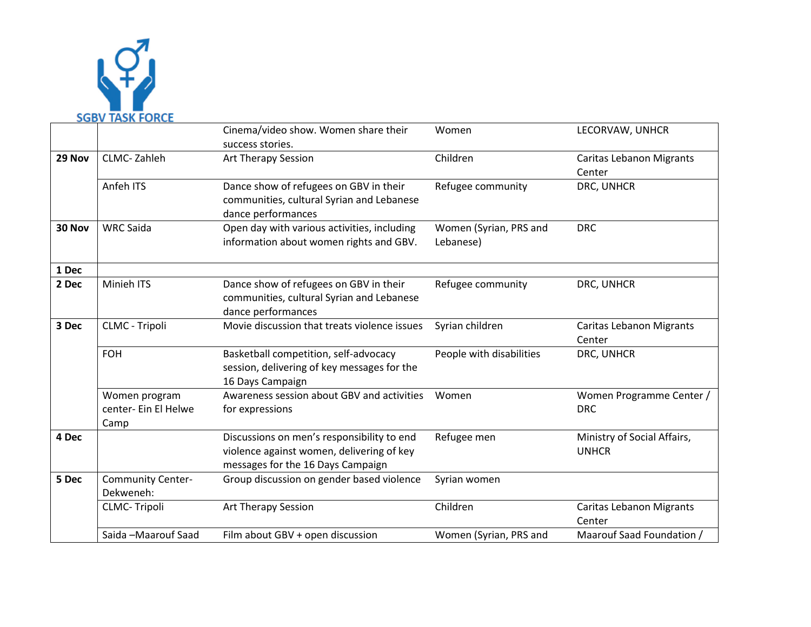

|        |                                               | Cinema/video show. Women share their<br>success stories.                                                                     | Women                               | LECORVAW, UNHCR                             |
|--------|-----------------------------------------------|------------------------------------------------------------------------------------------------------------------------------|-------------------------------------|---------------------------------------------|
| 29 Nov | <b>CLMC-Zahleh</b>                            | <b>Art Therapy Session</b>                                                                                                   | Children                            | <b>Caritas Lebanon Migrants</b><br>Center   |
|        | Anfeh ITS                                     | Dance show of refugees on GBV in their<br>communities, cultural Syrian and Lebanese<br>dance performances                    | Refugee community                   | DRC, UNHCR                                  |
| 30 Nov | <b>WRC Saida</b>                              | Open day with various activities, including<br>information about women rights and GBV.                                       | Women (Syrian, PRS and<br>Lebanese) | <b>DRC</b>                                  |
| 1 Dec  |                                               |                                                                                                                              |                                     |                                             |
| 2 Dec  | Minieh ITS                                    | Dance show of refugees on GBV in their<br>communities, cultural Syrian and Lebanese<br>dance performances                    | Refugee community                   | DRC, UNHCR                                  |
| 3 Dec  | CLMC - Tripoli                                | Movie discussion that treats violence issues                                                                                 | Syrian children                     | <b>Caritas Lebanon Migrants</b><br>Center   |
|        | <b>FOH</b>                                    | Basketball competition, self-advocacy<br>session, delivering of key messages for the<br>16 Days Campaign                     | People with disabilities            | DRC, UNHCR                                  |
|        | Women program<br>center- Ein El Helwe<br>Camp | Awareness session about GBV and activities<br>for expressions                                                                | Women                               | Women Programme Center /<br><b>DRC</b>      |
| 4 Dec  |                                               | Discussions on men's responsibility to end<br>violence against women, delivering of key<br>messages for the 16 Days Campaign | Refugee men                         | Ministry of Social Affairs,<br><b>UNHCR</b> |
| 5 Dec  | <b>Community Center-</b><br>Dekweneh:         | Group discussion on gender based violence                                                                                    | Syrian women                        |                                             |
|        | <b>CLMC-Tripoli</b>                           | <b>Art Therapy Session</b>                                                                                                   | Children                            | Caritas Lebanon Migrants<br>Center          |
|        | Saida -Maarouf Saad                           | Film about GBV + open discussion                                                                                             | Women (Syrian, PRS and              | Maarouf Saad Foundation /                   |